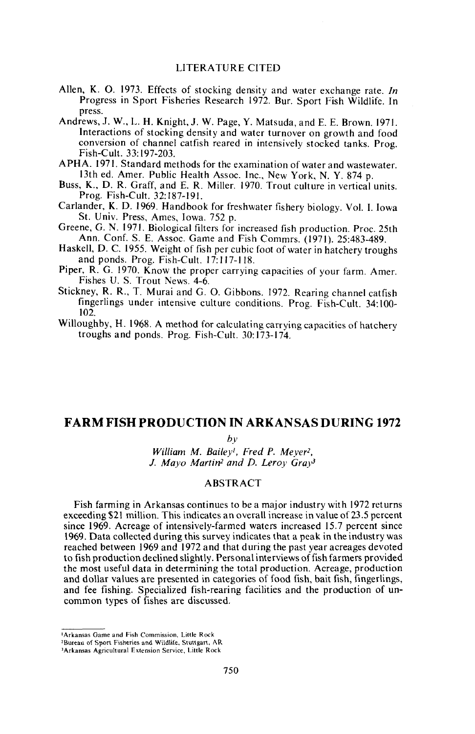## LITERATURE CITED

- Allen, K. O. 1973. Effects of stocking density and water exchange rate. *In* Progress in Sport Fisheries Research 1972. Bur. Sport Fish Wildlife. In press.
- Andrews, J. W., L. H. Knight, J. W. Page, Y. Matsuda, and E. E. Brown. 1971. Interactions of stocking density and water turnover on growth and food conversion of channel catfish reared in intensively stocked tanks. Prog. Fish-Cult. 33: 197-203.
- APHA. 1971. Standard methods for the examination of water and wastewater. 13th ed. Amer. Public Health Assoc. Inc., New York, N. Y. 874 p.
- Buss, K., D. R. Graff, and E. R. Miller. 1970. Trout culture in vertical units. Prog. Fish-Cult. 32:187-191.
- Carlander, K. D. 1969. Handbook for freshwater fishery biology. Vol. I. Iowa St. Univ. Press, Ames, Iowa. 752 p.
- Greene, G. N. 1971. Biological filters for increased fish production. Proc. 25th Ann. Conf. S. E. Assoc. Game and Fish Commrs. (1971). 25:483-489.
- Haskell, D. C. 1955. Weight of fish per cubic foot of water in hatchery troughs and ponds. Prog. Fish-Cult. 17: 117-118.
- Piper, R. G. 1970. Know the proper carrying capacities of your farm. Amer. Fishes U. S. Trout News. 4-6.
- Stickney, R. R., T. Murai and G. O. Gibbons. 1972. Rearing channel catfish fingerlings under intensive culture conditions. Prog. Fish-Cult. 34: 100- 102.
- Willoughby, H. 1968. A method for calculating carrying capacities of hatchery troughs and ponds. Prog. Fish-Cult. 30: 173-174.

# FARM FISH PRODUCTION IN ARKANSAS DURING 1972

*by*

*William M. Baileyl, Fred P. Meyer2,* J. *Mayo Martin2 and D. Leroy GrayJ*

# ABSTRACT

Fish farming in Arkansas continues to be a major industry with 1972 returns exceeding \$21 million. This indicates an overall increase in value of 23.5 percent since 1969. Acreage of intensively-farmed waters increased 15.7 percent since 1969. Data collected during this survey indicates that a peak in the industry was reached between 1969 and 1972 and that during the past year acreages devoted to fish production declined slightly. Personal interviews offish farmers provided the most useful data in determining the total production. Acreage, production and dollar values are presented in categories of food fish, bait fish, fingerlings, and fee fishing. Specialized fish-rearing facilities and the production of uncommon types of fishes are discussed.

<sup>&#</sup>x27;Arkansas Game and Fish Commission, Little Rock

<sup>2</sup>Bureau of Sport Fisheries and Wildlife, Stuttgart. AR

<sup>3</sup>Arkansas Agricultural Extension Service. Little Rock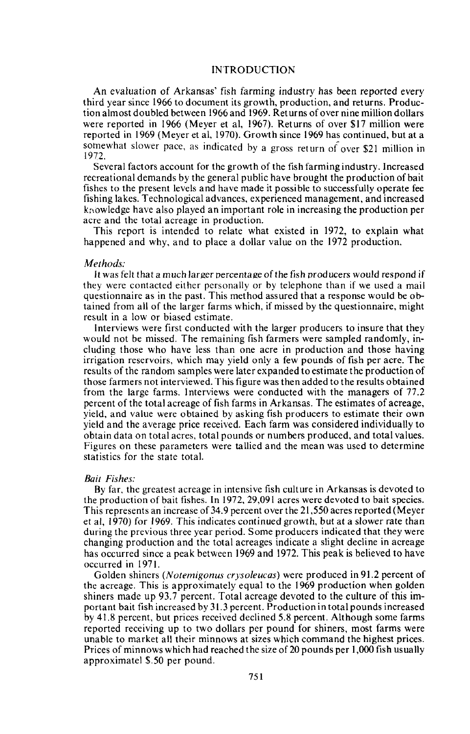## INTRODUCTION

An evaluation of Arkansas' fish farming industry has been reported every third year since 1966 to document its growth, production, and returns. Production almost doubled between 1966 and 1969. Ret urns of over nine million dollars were reported in 1966 (Meyer et ai, 1967). Returns of over \$17 million were reported in 1969 (Meyer et ai, 1970). Growth since 1969 has continued, but at a somewhat slower pace, as indicated by a gross return *of* over \$21 million in 1972.

Several factors account for the growth of the fish farming industry. Increased recreational demands by the general public have brought the production of bait fishes to the present levels and have made it possible to successfully operate fee fishing lakes. Technological advances, experienced management, and increased kr\owledge have also played an important role in increasing the production per acre and the total acreage in production.

This report is intended to relate what existed in 1972, to explain what happened and why, and to place a dollar value on the 1972 production.

## *Methods:*

It was felt that a much larger percentage of the fish producers would respond if they were contacted either personally or by telephone than if we used a mail questionnaire as in the past. This method assured that a response would be obtained from all of the larger farms which, if missed by the questionnaire, might result in a low or biased estimate.

Interviews were first conducted with the larger producers to insure that they would not be missed. The remaining fish farmers were sampled randomly, including those who have less than one acre in production and those having irrigation reservoirs, which may yield only a few pounds of fish per acre. The results of the random samples were later expanded to estimate the production of those farmers not interviewed. This figure was then added to the results obtained from the large farms. Interviews were conducted with the managers of 77.2 percent of the total acreage of fish farms in Arkansas. The estimates of acreage, yield, and value were obtained by asking fish producers to estimate their own yield and the average price received. Each farm was considered individually to obtain data on total acres, total pounds or numbers produced, and total values. Figures on these parameters were tallied and the mean was used to determine statistics for the state total.

### *Bait Fishes:*

By far, the greatest acreage in intensive fish culture in Arkansas is devoted to the production of bait fishes. In 1972, 29,091 acres were devoted to bait species. This represents an increase of 34.9 percent over the 21,550 acres reported (Meyer et ai, 1970) for 1969. This indicates continued growth, but at a slower rate than during the previous three year period. Some producers indicated that they were changing production and the total acreages indicate a slight decline in acreage has occurred since a peak between 1969 and 1972. This peak is believed to have occurred in 1971.

Golden shiners *(Notemigonus erysoleucas)* were produced in 91.2 percent of the acreage. This is approximately equal to the 1969 production when golden shiners made up 93.7 percent. Total acreage devoted to the culture of this important bait fish increased by 31.3 percent. Production in total pounds increased by 41.8 percent, but prices received declined 5.8 percent. Although some farms reported receiving up to two dollars per pound for shiners, most farms were unable to market all their minnows at sizes which command the highest prices. Prices of minnows which had reached the size of 20 pounds per 1,000 fish usually approximatel \$.50 per pound.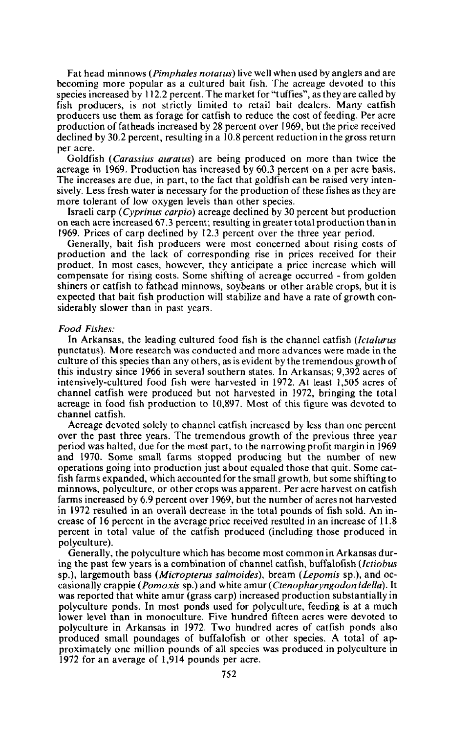Fat head minnows *(Pimphales notatus)* live well when used by anglers and are becoming more popular as a cultured bait fish. The acreage devoted to this species increased by 112.2 percent. The market for "tuffies", as they are called by fish producers, is not strictly limited to retail bait dealers. Many catfish producers use them as forage for catfish to reduce the cost of feeding. Per acre production offatheads increased by 28 percent over 1969, but the price received declined by 30.2 percent, resulting in a 10.8 percent reduction in the gross return per acre.

Goldfish *(Carassius auratus)* are being produced on more than twice the acreage in 1969. Production has increased by 60.3 percent on a per acre basis. The increases are due, in part, to the fact that goldfish can be raised very intensively. Less fresh water is necessary for the production of these fishes as they are more tolerant of low oxygen levels than other species.

Israeli carp *(Cyprinus carpio)* acreage declined by 30 percent but production on each acre increased 67.3 percent; resulting in greater total production than in 1969. Prices of carp declined by 12.3 percent over the three year period.

Generally, bait fish producers were most concerned about rising costs of production and the lack of corresponding rise in prices received for their product. In most cases, however, they anticipate a price increase which will compensate for rising costs. Some shifting of acreage occurred - from golden shiners or catfish to fathead minnows, soybeans or other arable crops, but it is expected that bait fish production will stabilize and have a rate of growth considerably slower than in past years.

## *Food Fishes:*

In Arkansas, the leading cultured food fish is the channel catfish *(Ictalurus* punctatus). More research was conducted and more advances were made in the culture of this species than any others, as is evident by the tremendous growth of this industry since 1966 in several southern states. In Arkansas; 9,392 acres of intensively-cultured food fish were harvested in 1972. At least 1,505 acres of channel catfish were produced but not harvested in 1972, bringing the total acreage in food fish production to 10,897. Most of this figure was devoted to channel catfish.

Acreage devoted solely to channel catfish increased by less than one percent over the past three years. The tremendous growth of the previous three year period was halted, due for the most part, to the narrowing profit margin in 1969 and 1970. Some small farms stopped producing but the number of new operations going into production just about equaled those that quit. Some catfish farms expanded, which accounted for the small growth, but some shifting to minnows, polyculture, or other crops was apparent. Per acre harvest on catfish farms increased by 6.9 percent over 1969, but the number of acres not harvested in 1972 resulted in an overall decrease in the total pounds of fish sold. An increase of 16 percent in the average price received resulted in an increase of 11.8 percent in total value of the catfish produced (including those produced in polyculture).

Generally, the polyculture which has become most common in Arkansas during the past few years is a combination of channel catfish, buffalofish *(lctiobus* sp.), largemouth bass *(Micropterus salmoides),* bream *(Lepomis* sp.), and occasionally crappie *(Pomoxis* sp.) and white amur *(Ctenopharyngodon ide//a).* It was reported that white amur (grass carp) increased production substantially in polyculture ponds. In most ponds used for polyculture, feeding is at a much lower level than in monoculture. Five hundred fifteen acres were devoted to polyculture in Arkansas in 1972. Two hundred acres of catfish ponds also produced small poundages of buffalofish or other species. A total of approximately one million pounds of all species was produced in polyculture in 1972 for an average of 1,914 pounds per acre.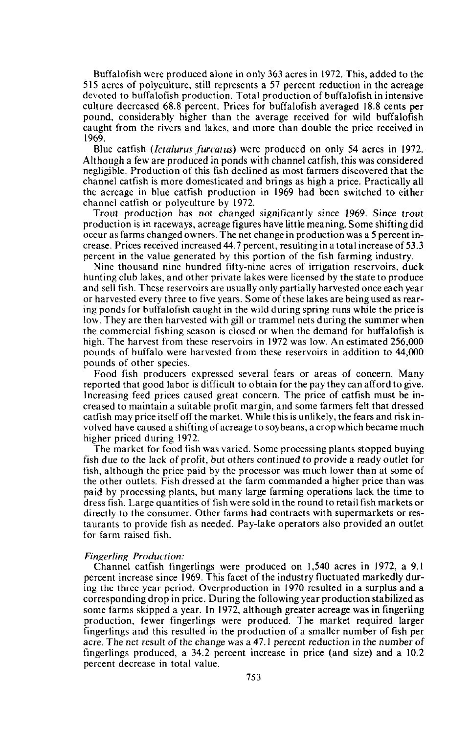Buffalofish were produced alone in only 363 acres in 1972. This, added to the 515 acres of polyculture, still represents a 57 percent reduction in the acreage devoted to buffalofish production. Total production of buffalofish in intensive culture decreased 68.8 percent. Prices for buffalofish averaged 18.8 cents per pound, considerably higher than the average received for wild buffalofish caught from the rivers and lakes, and more than double the price received in 1969.

Blue catfish *(lctalurus furcatus)* were produced on only 54 acres in 1972. Although a few are produced in ponds with channel catfish, this was considered negligible. Production of this fish declined as most farmers discovered that the channel catfish is more domesticated and brings as high a price. Practically all the acreage in blue catfish production in 1969 had been switched to either channel catfish or polyculture by 1972.

Trout production has not changed significantly since 1969. Since trout production is in raceways, acreage figures have little meaning. Some shifting did occur as farms changed owners. The net change in production was a 5 percent increase. Prices received increased 44.7 percent, resulting in a total increase of 53.3 percent in the value generated by this portion of the fish farming industry.

Nine thousand nine hundred fifty-nine acres of irrigation reservoirs, duck hunting club lakes, and other private lakes were licensed by the state to produce and sell fish. These reservoirs are usually only partially harvested once each year or harvested every three to five years. Some of these lakes are being used as rearing ponds for buffalofish caught in the wild during spring runs while the price is low. They are then harvested with gill or trammel nets during the summer when the commercial fishing season is closed or when the demand for buffalofish is high. The harvest from these reservoirs in 1972 was low. An estimated 256,000 pounds of buffalo were harvested from these reservoirs in addition to 44,000 pounds of other species.

Food fish producers expressed several fears or areas of concern. Many reported that good labor is difficult to obtain for the pay they can afford to give. Increasing feed prices caused great concern. The price of catfish must be increased to maintain a suitable profit margin, and some farmers felt that dressed catfish may price itself off the market. While this is unlikely, the fears and risk involved have caused a shifting of acreage to soybeans, a crop which became much higher priced during 1972.

The market for food fish was varied. Some processing plants stopped buying fish due to the lack of profit, but others continued to provide a ready outlet for fish, although the price paid by the processor was much lower than at some of the other outlets. Fish dressed at the farm commanded a higher price than was paid by processing plants, but many large farming operations lack the time to dress fish. Large quantities of fish were sold in the round to retail fish markets or directly to the consumer. Other farms had contracts with supermarkets or restaurants to provide fish as needed. Pay-lake operators also provided an outlet for farm raised fish.

#### *Fingerling Production:*

Channel catfish fingerlings were produced on 1,540 acres in 1972, a 9.1 percent increase since 1969. This facet of the industry fluctuated markedly during the three year period. Overproduction in 1970 resulted in a surplus and a corresponding drop in price. During the following year production stabilized as some farms skipped a year. In 1972, although greater acreage was in fingerling production, fewer fingerlings were produced. The market required larger fingerlings and this resulted in the production of a smaller number of fish per acre. The net result of the change was a 47.1 percent reduction in the number of fingerlings produced, a 34.2 percent increase in price (and size) and a 10.2 percent decrease in total value.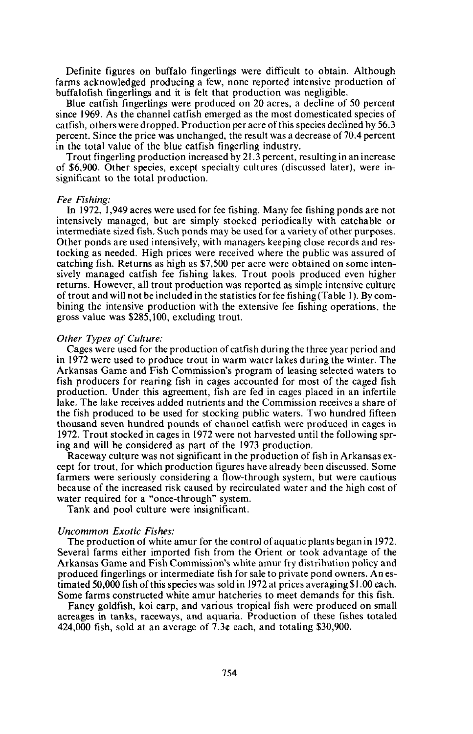Definite figures on buffalo fingerlings were difficult to obtain. Although farms acknowledged producing a few, none reported intensive production of buffalofish fingerlings and it is felt that production was negligible.

Blue catfish fingerlings were produced on 20 acres, a decline of 50 percent since 1969. As the channel catfish emerged as the most domesticated species of catfish, others were dropped. Production per acre of this species declined by 56.3 percent. Since the price was unchanged, the result was a decrease of 70.4 percent in the total value of the blue catfish fingerling industry.

Trout fingerling production increased by 21.3 percent, resulting in an increase of \$6,900. Other species, except specialty cultures (discussed later), were insignificant to the total production.

### *Fee Fishing:*

**In** 1972, 1,949 acres were used for fee fishing. Many fee fishing ponds are not intensively managed, but are simply stocked periodically with catchable or intermediate sized fish. Such ponds may be used for a variety of other purposes. Other ponds are used intensively, with managers keeping close records and restocking as needed. High prices were received where the public was assured of catching fish. Returns as high as \$7,500 per acre were obtained on some intensively managed catfish fee fishing lakes. Trout pools produced even higher returns. However, all trout production was reported as simple intensive culture of trout and will not be included in the statistics for fee fishing (Table I). By combining the intensive production with the extensive fee fishing operations, the gross value was \$285,100, excluding trout.

## *Other Types of Culture:*

Cages were used for the production of catfish during the three year period and in 1972 were used to produce trout in warm water lakes during the winter. The Arkansas Game and Fish Commission's program of leasing selected waters to fish producers for rearing fish in cages accounted for most of the caged fish production. Under this agreement, fish are fed in cages placed in an infertile lake. The lake receives added nutrients and the Commission receives a share of the fish produced to be used for stocking public waters. Two hundred fifteen thousand seven hundred pounds of channel catfish were produced in cages in 1972. Trout stocked in cages in 1972 were not harvested until the following spring and will be considered as part of the 1973 production.

Raceway culture was not significant in the production of fish in Arkansas except for trout, for which production figures have already been discussed. Some farmers were seriously considering a flow-through system, but were cautious because of the increased risk caused by recirculated water and the high cost of water required for a "once-through" system.

Tank and pool culture were insignificant.

#### *Uncommon Exotic Fishes:*

The production of white amur for the control of aquatic plants began in 1972. Several farms either imported fish from the Orient or took advantage of the Arkansas Game and Fish Commission's white amur fry distribution policy and produced fingerlings or intermediate fish for sale to private pond owners. An estimated 50,000 fish of this species was sold in 1972 at prices averaging \$1.00 each. Some farms constructed white amur hatcheries to meet demands for this fish.

Fancy goldfish, koi carp, and various tropical fish were produced on small acreages in tanks, raceways, and aquaria. Production of these fishes totaled 424,000 fish, sold at an average of  $7.3c$  each, and totaling \$30,900.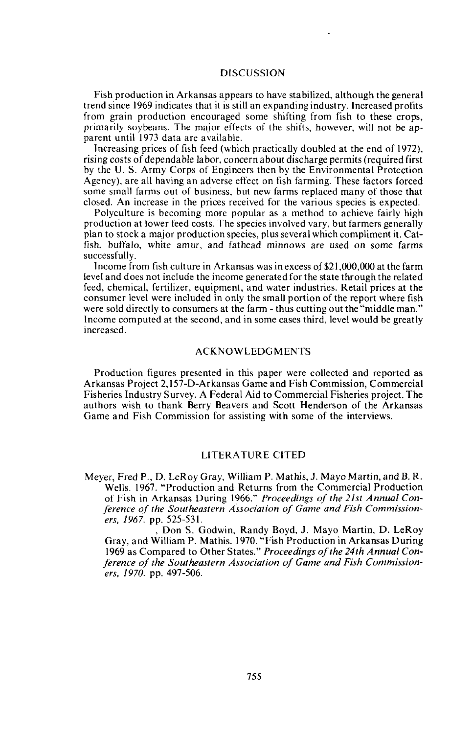## DISCUSSION

Fish production in Arkansas appears to have stabilized, although the general trend since 1969 indicates that it is still an expanding industry. Increased profits from grain production encouraged some shifting from fish to these crops, primarily soybeans. The major effects of the shifts, however, will not be apparent until 1973 data are available.

Increasing prices of fish feed (which practically doubled at the end of 1972), rising costs of dependable labor, concern about discharge permits (required first by the U. S. Army Corps of Engineers then by the Environmental Protection Agency), are all having an adverse effect on fish farming. These factors forced some small farms out of business, but new farms replaced many of those that closed. An increase in the prices received for the various species is expected.

Polyculture is becoming more popular as a method to achieve fairly high production at lower feed costs. The species involved vary, but farmers generally plan to stock a major production species, plus several which compliment it. Catfish, buffalo, white amur, and fathead minnows are used on some farms successfully.

Income from fish culture in Arkansas was in excess of \$21 ,000,000 at the farm level and does not include the income generated for the state through the related feed, chemical, fertilizer, equipment, and water industries. Retail prices at the consumer level were included in only the small portion of the report where fish were sold directly to consumers at the farm - thus cutting out the "middle man." Income computed at the second, and in some cases third, level would be greatly increased.

## **ACKNOWLEDGMENTS**

Production figures presented in this paper were collected and reported as Arkansas Project 2,1 57-D-Arkansas Game and Fish Commission, Commercial Fisheries Industry Survey. A Federal Aid to Commercial Fisheries project. The authors wish to thank Berry Beavers and Scott Henderson of the Arkansas Game and Fish Commission for assisting with some of the interviews.

## LITERATURE CITED

Meyer, Fred P., D. LeRoy Gray, William P. Mathis, J. Mayo Martin, and B. R. Wells. 1967. "Production and Returns from the Commercial Production of Fish in Arkansas During 1966." *Proceedings of the 21st Annual Conference of the Southeastern Association of Game and Fish Commissioners,* 1967. pp. 525-531.

Don S. Godwin, Randy Boyd, J. Mayo Martin, D. LeRoy Gray, and William P. Mathis. 1970. "Fish Production in Arkansas During 1969 as Compared to Other States." Proceedings of the 24th Annual Con*ference of the Southeastern Association of Game and Fish Commissioners, 1970.* pp. 497-506.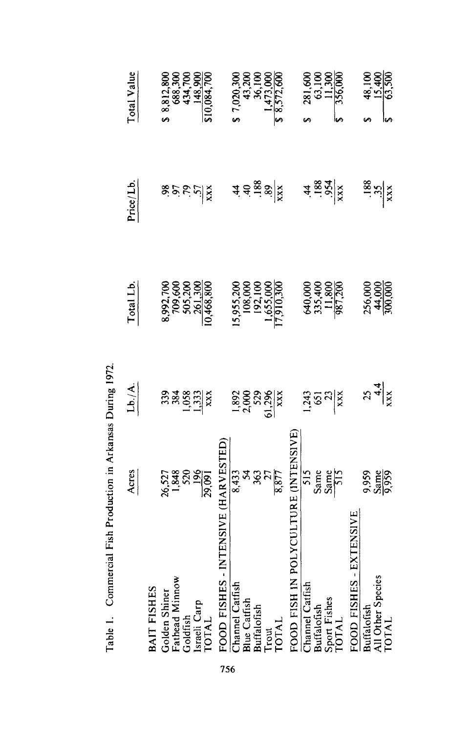|                                                                                | Acres                              | $\frac{\mathsf{Lb}/\mathsf{A}}{}$   | Total Lb                                                                                                | Price/Lb                                                            | Total Value                                                             |
|--------------------------------------------------------------------------------|------------------------------------|-------------------------------------|---------------------------------------------------------------------------------------------------------|---------------------------------------------------------------------|-------------------------------------------------------------------------|
| <b>BAIT FISHES</b>                                                             |                                    |                                     |                                                                                                         |                                                                     |                                                                         |
|                                                                                |                                    |                                     |                                                                                                         |                                                                     |                                                                         |
|                                                                                |                                    |                                     |                                                                                                         |                                                                     |                                                                         |
|                                                                                |                                    |                                     |                                                                                                         |                                                                     |                                                                         |
| Golden Shiner<br>Fathead Minnow<br>Goldfish<br>Israeli Carp<br>TOTAL           | 26,527<br>1,848<br>1,960<br>29,091 | ឆ្លូងខ្លួងនៃ<br>អ្នកប្រុស           | 8,992,700<br>709,600<br>505,200<br>261,300<br>0,468,800                                                 | 85555                                                               | \$ 8,812,800<br>688,300<br>434,700<br>448,900<br>148,900<br>510,084,700 |
|                                                                                |                                    |                                     |                                                                                                         |                                                                     |                                                                         |
| FOOD FISHES<br>Chamel Catfish<br>Blue Catfish<br>Buffalofish<br>Trout<br>Trout | INTENSIVE (HARVESTE                |                                     |                                                                                                         |                                                                     |                                                                         |
|                                                                                |                                    |                                     |                                                                                                         |                                                                     | 7,020,300                                                               |
|                                                                                |                                    |                                     |                                                                                                         |                                                                     |                                                                         |
|                                                                                |                                    |                                     |                                                                                                         |                                                                     |                                                                         |
|                                                                                |                                    |                                     |                                                                                                         |                                                                     |                                                                         |
|                                                                                | 8.43<br>8.587<br>8.677             | $\frac{1,892}{2,000}$               | $\begin{array}{r} 15,955,200 \\ 108,000 \\ 192,100 \\ 1,655,000 \\ 1,655,000 \\ 17,910,300 \end{array}$ | $\hat{a} \triangleq \frac{1}{2} \hat{\mathbf{z}} \times \mathbf{z}$ | $43,200$<br>$43,200$<br>$36,100$<br>$1,473,000$<br>$8,572,600$          |
| FOOD FISH IN                                                                   | POLYCULTURE (INTENSIVE             |                                     |                                                                                                         |                                                                     |                                                                         |
| Channel Catfish<br>Buffalofish<br>Sport Fishes<br>TOTAL                        | $\frac{515}{340}$                  |                                     |                                                                                                         |                                                                     |                                                                         |
|                                                                                |                                    | $\frac{1}{2}$ ទីន $\frac{1}{2}$ ន្ត |                                                                                                         | $4 \frac{1}{88} 3 \frac{3}{4}$                                      |                                                                         |
|                                                                                |                                    |                                     |                                                                                                         |                                                                     |                                                                         |
|                                                                                |                                    |                                     | 640,000<br>335,400<br>11,800<br>987,200                                                                 |                                                                     | 281,600<br>63,100<br>11,300<br>356,000                                  |
| - EXTENSIVE<br>FOOD FISHES                                                     |                                    |                                     |                                                                                                         |                                                                     |                                                                         |
| <b>Buffalofish</b><br>All Other Species<br>TOTAL                               |                                    |                                     |                                                                                                         |                                                                     |                                                                         |
|                                                                                | 9,959<br>Same                      | $\frac{25}{44}$                     | 256,000<br>44,000<br>300,000                                                                            | $\frac{38}{13}$                                                     | $\frac{48,18}{15,50}$                                                   |
|                                                                                |                                    |                                     |                                                                                                         |                                                                     |                                                                         |

Table 1. Commercial Fish Production in Arkansas During 1972. Table I. Commercial Fish Production in Arkansas During 1972.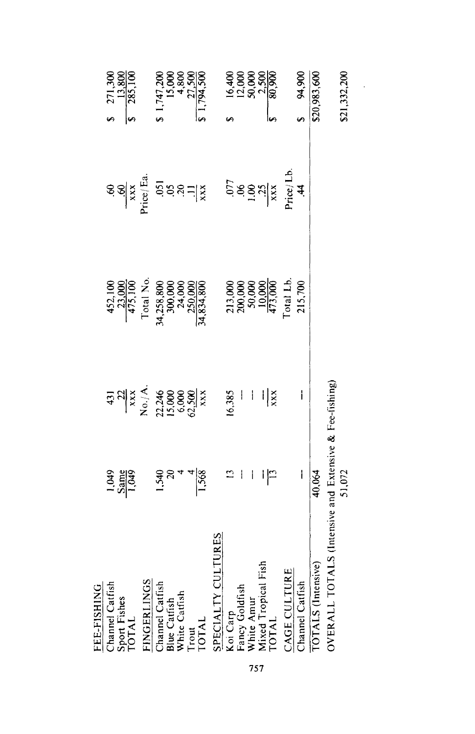| \$21,332,200<br>94,900<br>\$20,983,600   | Price/Lb.<br>.44<br>ទ្ធនិងន្ត្រី<br>ខ្លួននាំ | 213,000<br>200,000<br>50,000<br>10,000<br>473,000<br>Total Lb.<br>215,700 | i<br>$\mathbf{I}$<br>$\frac{1}{x}$                                                                                                                    | ALS (Intensive and Extensive & Fee-fishing)<br>40,064<br>I<br>51,072<br>i<br>၊ြ | Koi Carp<br>Fancy Goldfish<br>White Amur<br>Mixed Tropical Fish<br>TOTAL<br>TOTALS (Intensive)<br><b>CAGE CULTURE</b><br><b>OVERALL TOT</b><br>Channel Catfish |
|------------------------------------------|----------------------------------------------|---------------------------------------------------------------------------|-------------------------------------------------------------------------------------------------------------------------------------------------------|---------------------------------------------------------------------------------|----------------------------------------------------------------------------------------------------------------------------------------------------------------|
|                                          |                                              |                                                                           |                                                                                                                                                       |                                                                                 |                                                                                                                                                                |
|                                          |                                              |                                                                           |                                                                                                                                                       |                                                                                 |                                                                                                                                                                |
|                                          |                                              |                                                                           | 16,385                                                                                                                                                | $\mathbf{L}$                                                                    | <b>SPECIALTY CULTURES</b>                                                                                                                                      |
| \$1,794,500                              |                                              | 34,258,800<br>300,000<br>24,000<br>250,000<br>34,834,800                  |                                                                                                                                                       | $rac{158}{4}$                                                                   |                                                                                                                                                                |
| $1,747,200$<br>15,000<br>4,800<br>27,500 | $588 - 18$                                   |                                                                           |                                                                                                                                                       | $\infty$                                                                        |                                                                                                                                                                |
|                                          |                                              | Total No                                                                  | $\frac{431}{12}$<br>$\frac{22}{12}$<br>$\frac{12}{12}$<br>$\frac{12}{12}$<br>$\frac{44}{15}$<br>$\frac{46}{15}$<br>$\frac{66}{15}$<br>$\frac{66}{15}$ | 1,540                                                                           | FINGERLINGS<br>Channel Catfish<br>Blue Catfish<br>White Catfish<br>Trout<br>TOTAL                                                                              |
| 271,300<br>13,800<br>285,100             | .60<br>$\frac{60}{\text{xxx}}$<br>Price/Ea   | 452,100<br>23,000<br>475,100                                              |                                                                                                                                                       | $\frac{5}{1,049}$                                                               | Sport Fishes<br>TOTAL                                                                                                                                          |
|                                          |                                              |                                                                           |                                                                                                                                                       |                                                                                 | Channel Catfish<br>FEE-FISHING                                                                                                                                 |

757

 $\sim$   $\epsilon$